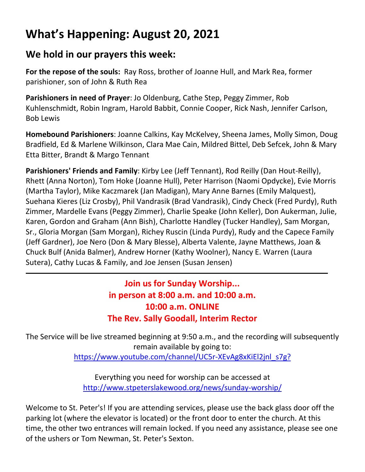# **What's Happening: August 20, 2021**

#### **We hold in our prayers this week:**

**For the repose of the souls:** Ray Ross, brother of Joanne Hull, and Mark Rea, former parishioner, son of John & Ruth Rea

**Parishioners in need of Prayer**: Jo Oldenburg, Cathe Step, Peggy Zimmer, Rob Kuhlenschmidt, Robin Ingram, Harold Babbit, Connie Cooper, Rick Nash, Jennifer Carlson, Bob Lewis

**Homebound Parishioners**: Joanne Calkins, Kay McKelvey, Sheena James, Molly Simon, Doug Bradfield, Ed & Marlene Wilkinson, Clara Mae Cain, Mildred Bittel, Deb Sefcek, John & Mary Etta Bitter, Brandt & Margo Tennant

**Parishioners' Friends and Family**: Kirby Lee (Jeff Tennant), Rod Reilly (Dan Hout-Reilly), Rhett (Anna Norton), Tom Hoke (Joanne Hull), Peter Harrison (Naomi Opdycke), Evie Morris (Martha Taylor), Mike Kaczmarek (Jan Madigan), Mary Anne Barnes (Emily Malquest), Suehana Kieres (Liz Crosby), Phil Vandrasik (Brad Vandrasik), Cindy Check (Fred Purdy), Ruth Zimmer, Mardelle Evans (Peggy Zimmer), Charlie Speake (John Keller), Don Aukerman, Julie, Karen, Gordon and Graham (Ann Bish), Charlotte Handley (Tucker Handley), Sam Morgan, Sr., Gloria Morgan (Sam Morgan), Richey Ruscin (Linda Purdy), Rudy and the Capece Family (Jeff Gardner), Joe Nero (Don & Mary Blesse), Alberta Valente, Jayne Matthews, Joan & Chuck Bulf (Anida Balmer), Andrew Horner (Kathy Woolner), Nancy E. Warren (Laura Sutera), Cathy Lucas & Family, and Joe Jensen (Susan Jensen)

## **Join us for Sunday Worship... in person at 8:00 a.m. and 10:00 a.m. 10:00 a.m. ONLINE The Rev. Sally Goodall, Interim Rector**

The Service will be live streamed beginning at 9:50 a.m., and the recording will subsequently remain available by going to:

[https://www.youtube.com/channel/UC5r-XEvAg8xKiEl2jnl\\_s7g?](https://www.youtube.com/channel/UC5r-XEvAg8xKiEl2jnl_s7g?)

Everything you need for worship can be accessed at <http://www.stpeterslakewood.org/news/sunday-worship/>

Welcome to St. Peter's! If you are attending services, please use the back glass door off the parking lot (where the elevator is located) or the front door to enter the church. At this time, the other two entrances will remain locked. If you need any assistance, please see one of the ushers or Tom Newman, St. Peter's Sexton.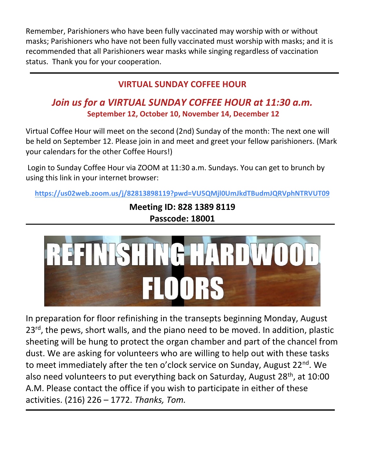Remember, Parishioners who have been fully vaccinated may worship with or without masks; Parishioners who have not been fully vaccinated must worship with masks; and it is recommended that all Parishioners wear masks while singing regardless of vaccination status. Thank you for your cooperation.

## **VIRTUAL SUNDAY COFFEE HOUR**

## *Join us for a VIRTUAL SUNDAY COFFEE HOUR at 11:30 a.m.* **September 12, October 10, November 14, December 12**

Virtual Coffee Hour will meet on the second (2nd) Sunday of the month: The next one will be held on September 12. Please join in and meet and greet your fellow parishioners. (Mark your calendars for the other Coffee Hours!)

Login to Sunday Coffee Hour via ZOOM at 11:30 a.m. Sundays. You can get to brunch by using this link in your internet browser:

**<https://us02web.zoom.us/j/82813898119?pwd=VU5QMjl0UmJkdTBudmJQRVphNTRVUT09>**

**Meeting ID: 828 1389 8119 Passcode: 18001**



In preparation for floor refinishing in the transepts beginning Monday, August 23<sup>rd</sup>, the pews, short walls, and the piano need to be moved. In addition, plastic sheeting will be hung to protect the organ chamber and part of the chancel from dust. We are asking for volunteers who are willing to help out with these tasks to meet immediately after the ten o'clock service on Sunday, August 22<sup>nd</sup>. We also need volunteers to put everything back on Saturday, August 28<sup>th</sup>, at 10:00 A.M. Please contact the office if you wish to participate in either of these activities. (216) 226 – 1772. *Thanks, Tom.*